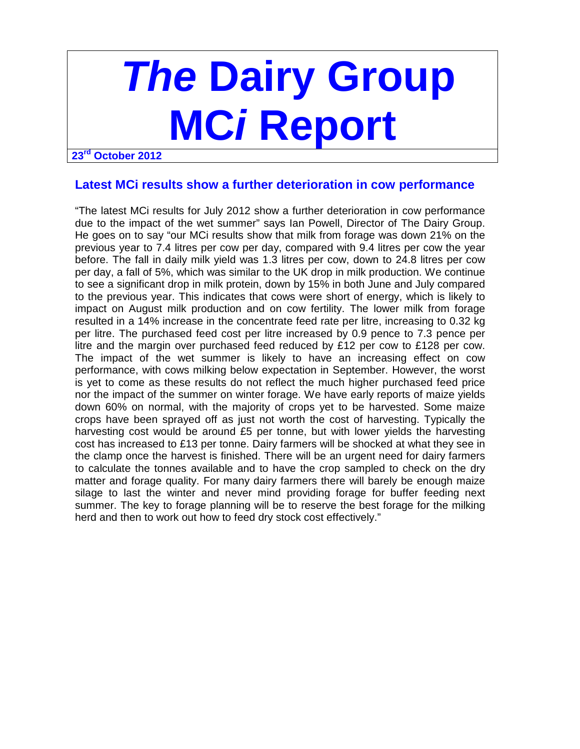# **The Dairy Group MCi Report**

**23rd October 2012** 

## **Latest MCi results show a further deterioration in cow performance**

"The latest MCi results for July 2012 show a further deterioration in cow performance due to the impact of the wet summer" says Ian Powell, Director of The Dairy Group. He goes on to say "our MCi results show that milk from forage was down 21% on the previous year to 7.4 litres per cow per day, compared with 9.4 litres per cow the year before. The fall in daily milk yield was 1.3 litres per cow, down to 24.8 litres per cow per day, a fall of 5%, which was similar to the UK drop in milk production. We continue to see a significant drop in milk protein, down by 15% in both June and July compared to the previous year. This indicates that cows were short of energy, which is likely to impact on August milk production and on cow fertility. The lower milk from forage resulted in a 14% increase in the concentrate feed rate per litre, increasing to 0.32 kg per litre. The purchased feed cost per litre increased by 0.9 pence to 7.3 pence per litre and the margin over purchased feed reduced by £12 per cow to £128 per cow. The impact of the wet summer is likely to have an increasing effect on cow performance, with cows milking below expectation in September. However, the worst is yet to come as these results do not reflect the much higher purchased feed price nor the impact of the summer on winter forage. We have early reports of maize yields down 60% on normal, with the majority of crops yet to be harvested. Some maize crops have been sprayed off as just not worth the cost of harvesting. Typically the harvesting cost would be around £5 per tonne, but with lower yields the harvesting cost has increased to £13 per tonne. Dairy farmers will be shocked at what they see in the clamp once the harvest is finished. There will be an urgent need for dairy farmers to calculate the tonnes available and to have the crop sampled to check on the dry matter and forage quality. For many dairy farmers there will barely be enough maize silage to last the winter and never mind providing forage for buffer feeding next summer. The key to forage planning will be to reserve the best forage for the milking herd and then to work out how to feed dry stock cost effectively."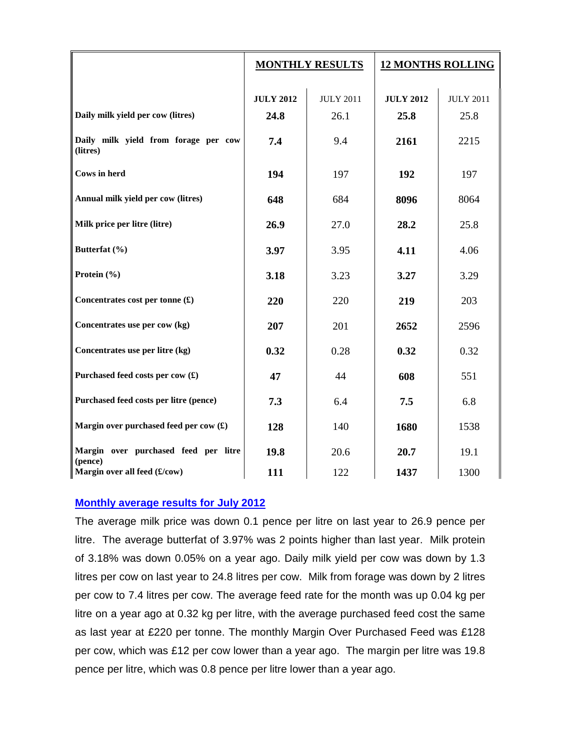|                                                  | <b>MONTHLY RESULTS</b> |                  | <b>12 MONTHS ROLLING</b> |                  |
|--------------------------------------------------|------------------------|------------------|--------------------------|------------------|
|                                                  | <b>JULY 2012</b>       | <b>JULY 2011</b> | <b>JULY 2012</b>         | <b>JULY 2011</b> |
| Daily milk yield per cow (litres)                | 24.8                   | 26.1             | 25.8                     | 25.8             |
| Daily milk yield from forage per cow<br>(litres) | 7.4                    | 9.4              | 2161                     | 2215             |
| Cows in herd                                     | 194                    | 197              | 192                      | 197              |
| Annual milk yield per cow (litres)               | 648                    | 684              | 8096                     | 8064             |
| Milk price per litre (litre)                     | 26.9                   | 27.0             | 28.2                     | 25.8             |
| Butterfat (%)                                    | 3.97                   | 3.95             | 4.11                     | 4.06             |
| Protein (%)                                      | 3.18                   | 3.23             | 3.27                     | 3.29             |
| Concentrates cost per tonne $(\textbf{\pounds})$ | 220                    | 220              | 219                      | 203              |
| Concentrates use per cow (kg)                    | 207                    | 201              | 2652                     | 2596             |
| Concentrates use per litre (kg)                  | 0.32                   | 0.28             | 0.32                     | 0.32             |
| Purchased feed costs per cow (£)                 | 47                     | 44               | 608                      | 551              |
| Purchased feed costs per litre (pence)           | 7.3                    | 6.4              | 7.5                      | 6.8              |
| Margin over purchased feed per cow (£)           | 128                    | 140              | 1680                     | 1538             |
| Margin over purchased feed per litre<br>(pence)  | 19.8                   | 20.6             | 20.7                     | 19.1             |
| Margin over all feed (£/cow)                     | 111                    | 122              | 1437                     | 1300             |

## **Monthly average results for July 2012**

The average milk price was down 0.1 pence per litre on last year to 26.9 pence per litre. The average butterfat of 3.97% was 2 points higher than last year. Milk protein of 3.18% was down 0.05% on a year ago. Daily milk yield per cow was down by 1.3 litres per cow on last year to 24.8 litres per cow. Milk from forage was down by 2 litres per cow to 7.4 litres per cow. The average feed rate for the month was up 0.04 kg per litre on a year ago at 0.32 kg per litre, with the average purchased feed cost the same as last year at £220 per tonne. The monthly Margin Over Purchased Feed was £128 per cow, which was £12 per cow lower than a year ago. The margin per litre was 19.8 pence per litre, which was 0.8 pence per litre lower than a year ago.